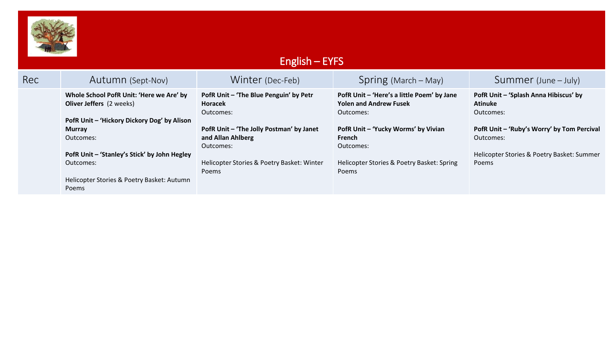

## English – EYFS

| Rec | Autumn (Sept-Nov)                                                           | Winter (Dec-Feb)                                                           | $Spring (March - May)$                                                                   | Summer (June – July)                                                 |
|-----|-----------------------------------------------------------------------------|----------------------------------------------------------------------------|------------------------------------------------------------------------------------------|----------------------------------------------------------------------|
|     | Whole School PofR Unit: 'Here we Are' by<br><b>Oliver Jeffers</b> (2 weeks) | PofR Unit - 'The Blue Penguin' by Petr<br>Horacek<br>Outcomes:             | PofR Unit - 'Here's a little Poem' by Jane<br><b>Yolen and Andrew Fusek</b><br>Outcomes: | PofR Unit - 'Splash Anna Hibiscus' by<br><b>Atinuke</b><br>Outcomes: |
|     | PofR Unit - 'Hickory Dickory Dog' by Alison                                 |                                                                            | PofR Unit - 'Yucky Worms' by Vivian                                                      | PofR Unit - 'Ruby's Worry' by Tom Percival                           |
|     | <b>Murray</b><br>Outcomes:                                                  | PofR Unit - 'The Jolly Postman' by Janet<br>and Allan Ahlberg<br>Outcomes: | French<br>Outcomes:                                                                      | Outcomes:                                                            |
|     | PofR Unit - 'Stanley's Stick' by John Hegley                                |                                                                            |                                                                                          | Helicopter Stories & Poetry Basket: Summer                           |
|     | Outcomes:                                                                   | Helicopter Stories & Poetry Basket: Winter<br>Poems                        | Helicopter Stories & Poetry Basket: Spring<br><b>Poems</b>                               | Poems                                                                |
|     | Helicopter Stories & Poetry Basket: Autumn<br><b>Poems</b>                  |                                                                            |                                                                                          |                                                                      |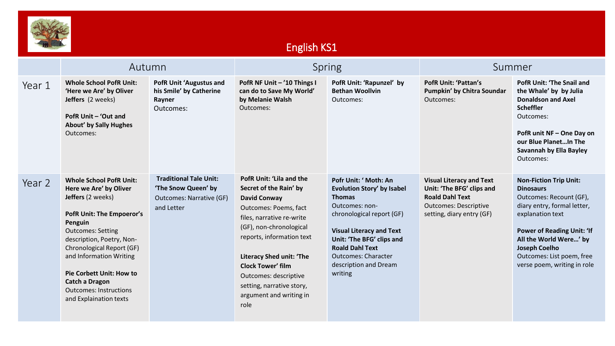

## English KS1

|        | Autumn                                                                                                                                                                                                                                                                                                                                                        |                                                                                                       | Spring                                                                                                                                                                                                                                                                                                                                                 |                                                                                                                                                                                                                                                                                        | Summer                                                                                                                                              |                                                                                                                                                                                                                                                                                    |
|--------|---------------------------------------------------------------------------------------------------------------------------------------------------------------------------------------------------------------------------------------------------------------------------------------------------------------------------------------------------------------|-------------------------------------------------------------------------------------------------------|--------------------------------------------------------------------------------------------------------------------------------------------------------------------------------------------------------------------------------------------------------------------------------------------------------------------------------------------------------|----------------------------------------------------------------------------------------------------------------------------------------------------------------------------------------------------------------------------------------------------------------------------------------|-----------------------------------------------------------------------------------------------------------------------------------------------------|------------------------------------------------------------------------------------------------------------------------------------------------------------------------------------------------------------------------------------------------------------------------------------|
| Year 1 | <b>Whole School PofR Unit:</b><br>'Here we Are' by Oliver<br>Jeffers (2 weeks)<br>PofR Unit - 'Out and<br><b>About' by Sally Hughes</b><br>Outcomes:                                                                                                                                                                                                          | <b>PofR Unit 'Augustus and</b><br>his Smile' by Catherine<br>Rayner<br>Outcomes:                      | PofR NF Unit - '10 Things I<br>can do to Save My World'<br>by Melanie Walsh<br>Outcomes:                                                                                                                                                                                                                                                               | PofR Unit: 'Rapunzel' by<br><b>Bethan Woollvin</b><br>Outcomes:                                                                                                                                                                                                                        | <b>PofR Unit: 'Pattan's</b><br>Pumpkin' by Chitra Soundar<br>Outcomes:                                                                              | <b>PofR Unit: 'The Snail and</b><br>the Whale' by by Julia<br><b>Donaldson and Axel</b><br><b>Scheffler</b><br>Outcomes:<br>PofR unit NF - One Day on<br>our Blue PlanetIn The<br><b>Savannah by Ella Bayley</b><br>Outcomes:                                                      |
| Year 2 | <b>Whole School PofR Unit:</b><br>Here we Are' by Oliver<br>Jeffers (2 weeks)<br><b>PofR Unit: The Empoeror's</b><br>Penguin<br><b>Outcomes: Setting</b><br>description, Poetry, Non-<br>Chronological Report (GF)<br>and Information Writing<br><b>Pie Corbett Unit: How to</b><br>Catch a Dragon<br><b>Outcomes: Instructions</b><br>and Explaination texts | <b>Traditional Tale Unit:</b><br>'The Snow Queen' by<br><b>Outcomes: Narrative (GF)</b><br>and Letter | <b>PofR Unit: 'Lila and the</b><br>Secret of the Rain' by<br><b>David Conway</b><br>Outcomes: Poems, fact<br>files, narrative re-write<br>(GF), non-chronological<br>reports, information text<br><b>Literacy Shed unit: 'The</b><br><b>Clock Tower' film</b><br>Outcomes: descriptive<br>setting, narrative story,<br>argument and writing in<br>role | Pofr Unit: ' Moth: An<br><b>Evolution Story' by Isabel</b><br><b>Thomas</b><br>Outcomes: non-<br>chronological report (GF)<br><b>Visual Literacy and Text</b><br>Unit: 'The BFG' clips and<br><b>Roald Dahl Text</b><br><b>Outcomes: Character</b><br>description and Dream<br>writing | <b>Visual Literacy and Text</b><br>Unit: 'The BFG' clips and<br><b>Roald Dahl Text</b><br><b>Outcomes: Descriptive</b><br>setting, diary entry (GF) | <b>Non-Fiction Trip Unit:</b><br><b>Dinosaurs</b><br>Outcomes: Recount (GF),<br>diary entry, formal letter,<br>explanation text<br><b>Power of Reading Unit: 'If</b><br>All the World Were' by<br><b>Joseph Coelho</b><br>Outcomes: List poem, free<br>verse poem, writing in role |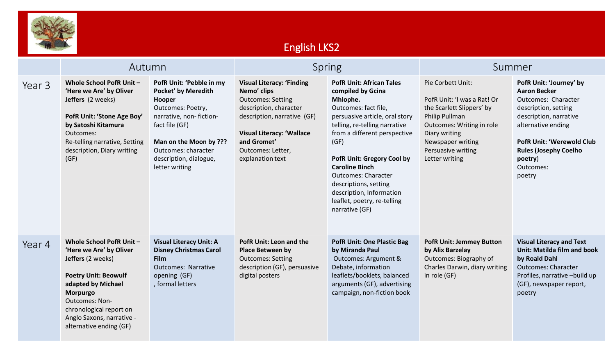

## English LKS2

|        | Autumn                                                                                                                                                                                                                                                |                                                                                                                                                                                                                                 | <b>Spring</b>                                                                                                                                                                                                                    |                                                                                                                                                                                                                                                                                                                                                                                                       | Summer                                                                                                                                                                                                     |                                                                                                                                                                                                                                                     |
|--------|-------------------------------------------------------------------------------------------------------------------------------------------------------------------------------------------------------------------------------------------------------|---------------------------------------------------------------------------------------------------------------------------------------------------------------------------------------------------------------------------------|----------------------------------------------------------------------------------------------------------------------------------------------------------------------------------------------------------------------------------|-------------------------------------------------------------------------------------------------------------------------------------------------------------------------------------------------------------------------------------------------------------------------------------------------------------------------------------------------------------------------------------------------------|------------------------------------------------------------------------------------------------------------------------------------------------------------------------------------------------------------|-----------------------------------------------------------------------------------------------------------------------------------------------------------------------------------------------------------------------------------------------------|
| Year 3 | Whole School PofR Unit-<br>'Here we Are' by Oliver<br>Jeffers (2 weeks)<br>PofR Unit: 'Stone Age Boy'<br>by Satoshi Kitamura<br>Outcomes:<br>Re-telling narrative, Setting<br>description, Diary writing<br>(GF)                                      | PofR Unit: 'Pebble in my<br><b>Pocket' by Meredith</b><br>Hooper<br>Outcomes: Poetry,<br>narrative, non-fiction-<br>fact file (GF)<br>Man on the Moon by ???<br>Outcomes: character<br>description, dialogue,<br>letter writing | <b>Visual Literacy: 'Finding</b><br>Nemo' clips<br><b>Outcomes: Setting</b><br>description, character<br>description, narrative (GF)<br><b>Visual Literacy: 'Wallace</b><br>and Gromet'<br>Outcomes: Letter,<br>explanation text | <b>PofR Unit: African Tales</b><br>compiled by Gcina<br>Mhlophe.<br>Outcomes: fact file,<br>persuasive article, oral story<br>telling, re-telling narrative<br>from a different perspective<br>(GF)<br><b>PofR Unit: Gregory Cool by</b><br><b>Caroline Binch</b><br><b>Outcomes: Character</b><br>descriptions, setting<br>description, Information<br>leaflet, poetry, re-telling<br>narrative (GF) | Pie Corbett Unit:<br>PofR Unit: 'I was a Rat! Or<br>the Scarlett Slippers' by<br>Philip Pullman<br>Outcomes: Writing in role<br>Diary writing<br>Newspaper writing<br>Persuasive writing<br>Letter writing | PofR Unit: 'Journey' by<br><b>Aaron Becker</b><br>Outcomes: Character<br>description, setting<br>description, narrative<br>alternative ending<br><b>PofR Unit: 'Werewold Club</b><br><b>Rules (Josephy Coelho</b><br>poetry)<br>Outcomes:<br>poetry |
| Year 4 | Whole School PofR Unit -<br>'Here we Are' by Oliver<br>Jeffers (2 weeks)<br><b>Poetry Unit: Beowulf</b><br>adapted by Michael<br>Morpurgo<br><b>Outcomes: Non-</b><br>chronological report on<br>Anglo Saxons, narrative -<br>alternative ending (GF) | <b>Visual Literacy Unit: A</b><br><b>Disney Christmas Carol</b><br><b>Film</b><br><b>Outcomes: Narrative</b><br>opening (GF)<br>, formal letters                                                                                | <b>PofR Unit: Leon and the</b><br><b>Place Between by</b><br><b>Outcomes: Setting</b><br>description (GF), persuasive<br>digital posters                                                                                         | <b>PofR Unit: One Plastic Bag</b><br>by Miranda Paul<br>Outcomes: Argument &<br>Debate, information<br>leaflets/booklets, balanced<br>arguments (GF), advertising<br>campaign, non-fiction book                                                                                                                                                                                                       | <b>PofR Unit: Jemmey Button</b><br>by Alix Barzelay<br>Outcomes: Biography of<br>Charles Darwin, diary writing<br>in role (GF)                                                                             | <b>Visual Literacy and Text</b><br>Unit: Matilda film and book<br>by Roald Dahl<br><b>Outcomes: Character</b><br>Profiles, narrative -build up<br>(GF), newspaper report,<br>poetry                                                                 |